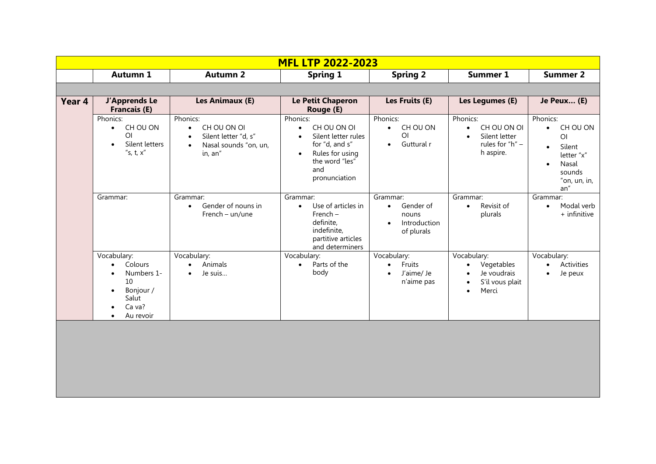| <b>MFL LTP 2022-2023</b> |                                                                                                                                             |                                                                                                                            |                                                                                                                                                                      |                                                                                        |                                                                                                                          |                                                                                                                                                  |
|--------------------------|---------------------------------------------------------------------------------------------------------------------------------------------|----------------------------------------------------------------------------------------------------------------------------|----------------------------------------------------------------------------------------------------------------------------------------------------------------------|----------------------------------------------------------------------------------------|--------------------------------------------------------------------------------------------------------------------------|--------------------------------------------------------------------------------------------------------------------------------------------------|
|                          | <b>Autumn 1</b>                                                                                                                             | <b>Autumn 2</b>                                                                                                            | <b>Spring 1</b>                                                                                                                                                      | <b>Spring 2</b>                                                                        | <b>Summer 1</b>                                                                                                          | <b>Summer 2</b>                                                                                                                                  |
|                          |                                                                                                                                             |                                                                                                                            |                                                                                                                                                                      |                                                                                        |                                                                                                                          |                                                                                                                                                  |
| Year 4                   | <b>J'Apprends Le</b><br><b>Francais (E)</b>                                                                                                 | Les Animaux (E)                                                                                                            | Le Petit Chaperon<br>Rouge (E)                                                                                                                                       | Les Fruits (E)                                                                         | Les Legumes (E)                                                                                                          | Je Peux (E)                                                                                                                                      |
|                          | Phonics:<br>CH OU ON<br>$\bullet$<br>O <sub>l</sub><br>Silent letters<br>$\bullet$<br>"s, t, $x$ "                                          | Phonics:<br>CH OU ON OI<br>$\bullet$<br>Silent letter "d, s"<br>$\bullet$<br>Nasal sounds "on, un,<br>$\bullet$<br>in, an" | Phonics:<br>CH OU ON OI<br>$\bullet$<br>Silent letter rules<br>$\bullet$<br>for "d, and s"<br>Rules for using<br>$\bullet$<br>the word "les"<br>and<br>pronunciation | Phonics:<br>CH OU ON<br>$\bullet$<br>O <sub>l</sub><br>Guttural r<br>$\bullet$         | Phonics:<br>CH OU ON OI<br>$\bullet$<br>Silent letter<br>$\bullet$<br>rules for "h" -<br>h aspire.                       | Phonics:<br>CH OU ON<br>$\bullet$<br>O <sub>l</sub><br>Silent<br>$\bullet$<br>letter "x"<br>Nasal<br>$\bullet$<br>sounds<br>"on, un, in,<br>an'' |
|                          | Grammar:                                                                                                                                    | Grammar:<br>Gender of nouns in<br>$\bullet$<br>French - un/une                                                             | Grammar:<br>Use of articles in<br>$\bullet$<br>French-<br>definite,<br>indefinite,<br>partitive articles<br>and determiners                                          | Grammar:<br>Gender of<br>$\bullet$<br>nouns<br>Introduction<br>$\bullet$<br>of plurals | Grammar:<br>Revisit of<br>$\bullet$<br>plurals                                                                           | Grammar:<br>Modal verb<br>$\bullet$<br>+ infinitive                                                                                              |
|                          | Vocabulary:<br>Colours<br>$\bullet$<br>Numbers 1-<br>$\bullet$<br>10<br>Bonjour /<br>$\bullet$<br>Salut<br>Ca va?<br>Au revoir<br>$\bullet$ | Vocabulary:<br>Animals<br>$\bullet$<br>Je suis<br>$\bullet$                                                                | Vocabulary:<br>Parts of the<br>$\bullet$<br>body                                                                                                                     | Vocabulary:<br>Fruits<br>$\bullet$<br>J'aime/ Je<br>$\bullet$<br>n'aime pas            | Vocabulary:<br>Vegetables<br>$\bullet$<br>Je voudrais<br>$\bullet$<br>S'il vous plait<br>$\bullet$<br>Merci<br>$\bullet$ | Vocabulary:<br>Activities<br>$\bullet$<br>Je peux<br>$\bullet$                                                                                   |
|                          |                                                                                                                                             |                                                                                                                            |                                                                                                                                                                      |                                                                                        |                                                                                                                          |                                                                                                                                                  |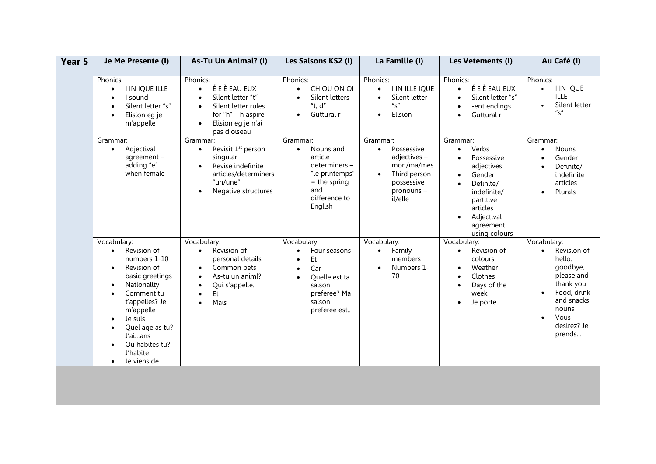| Year 5 | Je Me Presente (I)                                                                                                                                                                                                                                                                                           | As-Tu Un Animal? (I)                                                                                                                                                         | Les Saisons KS2 (I)                                                                                                                                               | La Famille (I)                                                                                                                       | Les Vetements (I)                                                                                                                                                                                            | Au Café (I)                                                                                                                                                                               |
|--------|--------------------------------------------------------------------------------------------------------------------------------------------------------------------------------------------------------------------------------------------------------------------------------------------------------------|------------------------------------------------------------------------------------------------------------------------------------------------------------------------------|-------------------------------------------------------------------------------------------------------------------------------------------------------------------|--------------------------------------------------------------------------------------------------------------------------------------|--------------------------------------------------------------------------------------------------------------------------------------------------------------------------------------------------------------|-------------------------------------------------------------------------------------------------------------------------------------------------------------------------------------------|
|        | Phonics:<br><b>I IN IQUE ILLE</b><br>$\bullet$<br>I sound<br>Silent letter "s"<br>Elision eg je<br>$\bullet$<br>m'appelle                                                                                                                                                                                    | Phonics:<br>É E È EAU EUX<br>$\bullet$<br>Silent letter "t"<br>Silent letter rules<br>$\bullet$<br>for " $h$ " – h aspire<br>Elision eg je n'ai<br>$\bullet$<br>pas d'oiseau | Phonics:<br>CH OU ON OI<br>$\bullet$<br>Silent letters<br>"t, $d$ "<br>Guttural r<br>$\bullet$                                                                    | Phonics:<br>I IN ILLE IQUE<br>$\bullet$<br>Silent letter<br>$\bullet$<br>$^{\prime\prime}$ s"<br>Elision<br>$\bullet$                | Phonics:<br>É E È EAU EUX<br>$\bullet$<br>Silent letter "s"<br>$\bullet$<br>-ent endings<br>$\bullet$<br>Guttural r<br>$\bullet$                                                                             | Phonics:<br><b>I IN IQUE</b><br>$\bullet$<br><b>ILLE</b><br>Silent letter<br>$^{\prime\prime}$ s <sup><math>\prime\prime</math></sup>                                                     |
|        | Grammar:<br>Adjectival<br>$\bullet$<br>agreement-<br>adding "e"<br>when female                                                                                                                                                                                                                               | Grammar:<br>Revisit 1 <sup>st</sup> person<br>$\bullet$<br>singular<br>Revise indefinite<br>articles/determiners<br>"un/une"<br>Negative structures                          | Grammar:<br>Nouns and<br>$\bullet$<br>article<br>determiners-<br>"le printemps"<br>$=$ the spring<br>and<br>difference to<br>English                              | Grammar:<br>Possessive<br>$\bullet$<br>adjectives-<br>mon/ma/mes<br>Third person<br>$\bullet$<br>possessive<br>pronouns -<br>il/elle | Grammar:<br>Verbs<br>$\bullet$<br>Possessive<br>$\bullet$<br>adjectives<br>Gender<br>$\bullet$<br>Definite/<br>indefinite/<br>partitive<br>articles<br>Adjectival<br>$\bullet$<br>agreement<br>using colours | Grammar:<br><b>Nouns</b><br>$\bullet$<br>Gender<br>$\bullet$<br>Definite/<br>$\bullet$<br>indefinite<br>articles<br>Plurals<br>$\bullet$                                                  |
|        | Vocabulary:<br>Revision of<br>$\bullet$<br>numbers 1-10<br>Revision of<br>$\bullet$<br>basic greetings<br>Nationality<br>$\bullet$<br>Comment tu<br>t'appelles? Je<br>m'appelle<br>Je suis<br>$\bullet$<br>Quel age as tu?<br>J'aians<br>Ou habites tu?<br>$\bullet$<br>J'habite<br>Je viens de<br>$\bullet$ | Vocabulary:<br>Revision of<br>$\bullet$<br>personal details<br>Common pets<br>$\bullet$<br>As-tu un animl?<br>Qui s'appelle<br>Et.<br>$\bullet$<br>Mais<br>$\bullet$         | Vocabulary:<br>Four seasons<br>$\bullet$<br>Et<br>$\bullet$<br>Car<br>$\bullet$<br>Quelle est ta<br>$\bullet$<br>saison<br>preferee? Ma<br>saison<br>preferee est | Vocabulary:<br>Family<br>$\bullet$<br>members<br>Numbers 1-<br>$\bullet$<br>70                                                       | Vocabulary:<br>Revision of<br>$\bullet$<br>colours<br>Weather<br>$\bullet$<br>Clothes<br>$\bullet$<br>Days of the<br>$\bullet$<br>week<br>Je porte<br>$\bullet$                                              | Vocabulary:<br>Revision of<br>$\bullet$<br>hello.<br>goodbye,<br>please and<br>thank you<br>Food, drink<br>$\bullet$<br>and snacks<br>nouns<br>Vous<br>$\bullet$<br>desirez? Je<br>prends |
|        |                                                                                                                                                                                                                                                                                                              |                                                                                                                                                                              |                                                                                                                                                                   |                                                                                                                                      |                                                                                                                                                                                                              |                                                                                                                                                                                           |